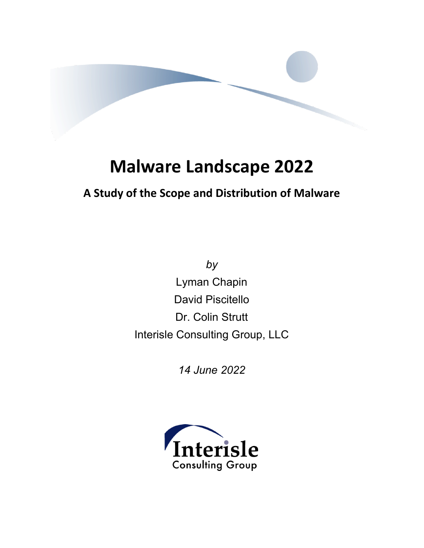

# **Malware Landscape 2022**

### **A Study of the Scope and Distribution of Malware**

*by* Lyman Chapin David Piscitello Dr. Colin Strutt Interisle Consulting Group, LLC

*14 June 2022*

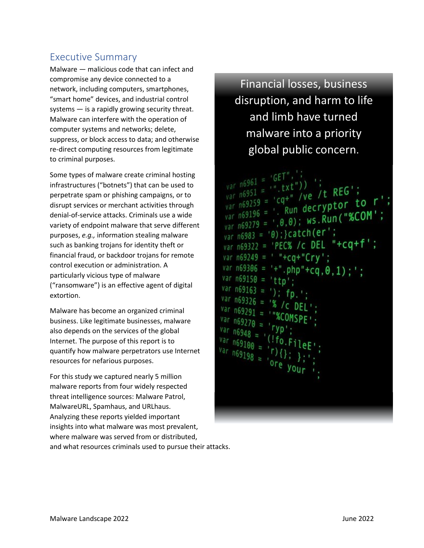### Executive Summary

Malware — malicious code that can infect and compromise any device connected to a network, including computers, smartphones, "smart home" devices, and industrial control systems — is a rapidly growing security threat. Malware can interfere with the operation of computer systems and networks; delete, suppress, or block access to data; and otherwise re-direct computing resources from legitimate to criminal purposes.

Some types of malware create criminal hosting infrastructures ("botnets") that can be used to perpetrate spam or phishing campaigns, or to disrupt services or merchant activities through denial-of-service attacks. Criminals use a wide variety of endpoint malware that serve different purposes, *e.g.,* information stealing malware such as banking trojans for identity theft or financial fraud, or backdoor trojans for remote control execution or administration. A particularly vicious type of malware ("ransomware") is an effective agent of digital extortion.

Malware has become an organized criminal business. Like legitimate businesses, malware also depends on the services of the global Internet. The purpose of this report is to quantify how malware perpetrators use Internet resources for nefarious purposes.

For this study we captured nearly 5 million malware reports from four widely respected threat intelligence sources: Malware Patrol, MalwareURL, Spamhaus, and URLhaus. Analyzing these reports yielded important insights into what malware was most prevalent, where malware was served from or distributed, and what resources criminals used to pursue their attacks.

Financial losses, business disruption, and harm to life and limb have turned malware into a priority global public concern.

 $\frac{1}{cq^+}$  /ve /t REG' var n69259 =  $cq+$  /ve /  $nc$  to r<br>var n69196 =  $\cdot$  Run decryptor to r var  $n69196 = 0.00$ ; ws.Run("%COM';<br>var  $n69279 = 0.00$ ; ws.Run("%COM';  $\frac{1}{\sqrt{a}}$  n6983 = '0); } catch (er'; var n69322 = 'PEC% /c DEL "+cq+f'; var n69249 = ' "+cq+"Crv': var n69306 = '+".php"+cq,  $0, 1)$ ; ';  $var$  n69150 = 'ttp'  $var$  n69163 = ')  $var$  n69326 =  $^{n69100}$  =  $\frac{100}{100}$  = 100 = 1 **ore**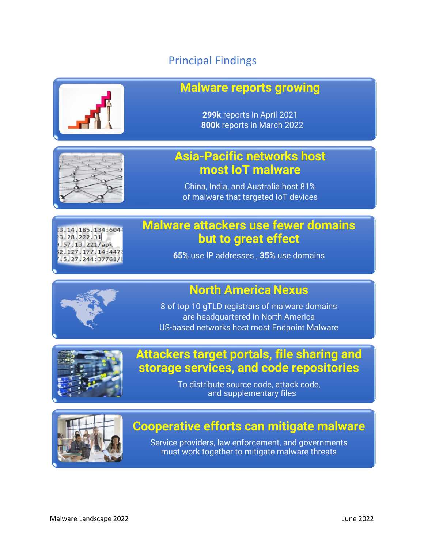### Principal Findings



### **Malware reports growing**

**299k** reports in April 2021 **800k** reports in March 2022

### **Asia-Pacific networks host most IoT malware**

China, India, and Australia host 81% of malware that targeted IoT devices

#### 13.14.185.134:604 3.28.222.31 .57.13.221/apk 2.127.177.14:447 .5.27.244:37761/

### **Malware attackers use fewer domains but to great effect**

**65%** use IP addresses , **35%** use domains

### **North America Nexus**

8 of top 10 gTLD registrars of malware domains are headquartered in North America US-based networks host most Endpoint Malware



### **Attackers target portals, file sharing and storage services, and code repositories**

To distribute source code, attack code, and supplementary files



## **Cooperative efforts can mitigate malware**

Service providers, law enforcement, and governments must work together to mitigate malware threats